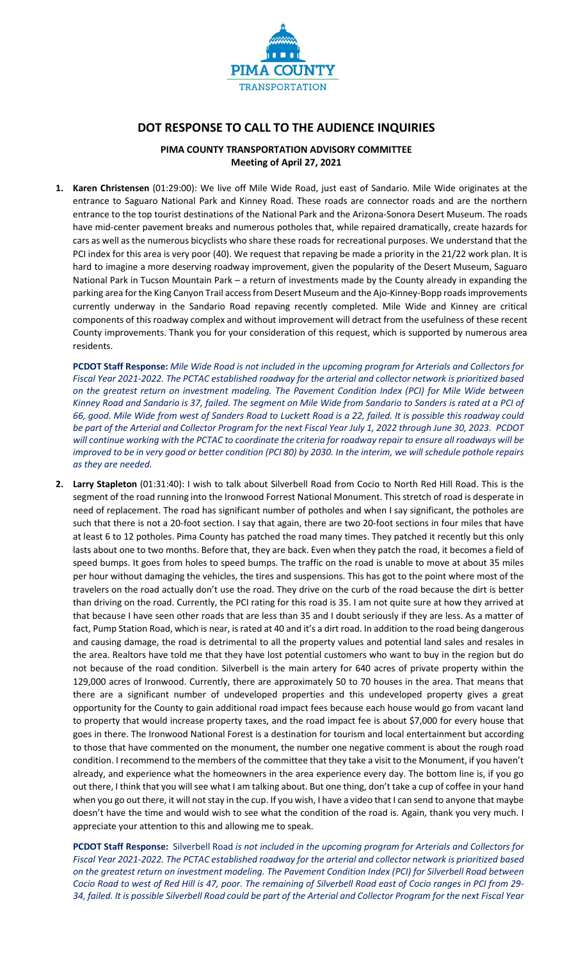

# **DOT RESPONSE TO CALL TO THE AUDIENCE INQUIRIES**

# **PIMA COUNTY TRANSPORTATION ADVISORY COMMITTEE Meeting of April 27, 2021**

**1. Karen Christensen** (01:29:00): We live off Mile Wide Road, just east of Sandario. Mile Wide originates at the entrance to Saguaro National Park and Kinney Road. These roads are connector roads and are the northern entrance to the top tourist destinations of the National Park and the Arizona-Sonora Desert Museum. The roads have mid-center pavement breaks and numerous potholes that, while repaired dramatically, create hazards for cars as well as the numerous bicyclists who share these roads for recreational purposes. We understand that the PCI index for this area is very poor (40). We request that repaving be made a priority in the 21/22 work plan. It is hard to imagine a more deserving roadway improvement, given the popularity of the Desert Museum, Saguaro National Park in Tucson Mountain Park – a return of investments made by the County already in expanding the parking area for the King Canyon Trail access from Desert Museum and the Ajo-Kinney-Bopp roads improvements currently underway in the Sandario Road repaving recently completed. Mile Wide and Kinney are critical components of this roadway complex and without improvement will detract from the usefulness of these recent County improvements. Thank you for your consideration of this request, which is supported by numerous area residents.

**PCDOT Staff Response:** *Mile Wide Road is not included in the upcoming program for Arterials and Collectors for Fiscal Year 2021-2022. The PCTAC established roadway for the arterial and collector network is prioritized based on the greatest return on investment modeling. The Pavement Condition Index (PCI) for Mile Wide between Kinney Road and Sandario is 37, failed. The segment on Mile Wide from Sandario to Sanders is rated at a PCI of 66, good. Mile Wide from west of Sanders Road to Luckett Road is a 22, failed. It is possible this roadway could be part of the Arterial and Collector Program for the next Fiscal Year July 1, 2022 through June 30, 2023. PCDOT will continue working with the PCTAC to coordinate the criteria for roadway repair to ensure all roadways will be improved to be in very good or better condition (PCI 80) by 2030. In the interim, we will schedule pothole repairs as they are needed.*

**2. Larry Stapleton** (01:31:40): I wish to talk about Silverbell Road from Cocio to North Red Hill Road. This is the segment of the road running into the Ironwood Forrest National Monument. This stretch of road is desperate in need of replacement. The road has significant number of potholes and when I say significant, the potholes are such that there is not a 20-foot section. I say that again, there are two 20-foot sections in four miles that have at least 6 to 12 potholes. Pima County has patched the road many times. They patched it recently but this only lasts about one to two months. Before that, they are back. Even when they patch the road, it becomes a field of speed bumps. It goes from holes to speed bumps. The traffic on the road is unable to move at about 35 miles per hour without damaging the vehicles, the tires and suspensions. This has got to the point where most of the travelers on the road actually don't use the road. They drive on the curb of the road because the dirt is better than driving on the road. Currently, the PCI rating for this road is 35. I am not quite sure at how they arrived at that because I have seen other roads that are less than 35 and I doubt seriously if they are less. As a matter of fact, Pump Station Road, which is near, is rated at 40 and it's a dirt road. In addition to the road being dangerous and causing damage, the road is detrimental to all the property values and potential land sales and resales in the area. Realtors have told me that they have lost potential customers who want to buy in the region but do not because of the road condition. Silverbell is the main artery for 640 acres of private property within the 129,000 acres of Ironwood. Currently, there are approximately 50 to 70 houses in the area. That means that there are a significant number of undeveloped properties and this undeveloped property gives a great opportunity for the County to gain additional road impact fees because each house would go from vacant land to property that would increase property taxes, and the road impact fee is about \$7,000 for every house that goes in there. The Ironwood National Forest is a destination for tourism and local entertainment but according to those that have commented on the monument, the number one negative comment is about the rough road condition. I recommend to the members of the committee that they take a visit to the Monument, if you haven't already, and experience what the homeowners in the area experience every day. The bottom line is, if you go out there, I think that you will see what I am talking about. But one thing, don't take a cup of coffee in your hand when you go out there, it will not stay in the cup. If you wish, I have a video that I can send to anyone that maybe doesn't have the time and would wish to see what the condition of the road is. Again, thank you very much. I appreciate your attention to this and allowing me to speak.

**PCDOT Staff Response:** Silverbell Road *is not included in the upcoming program for Arterials and Collectors for Fiscal Year 2021-2022. The PCTAC established roadway for the arterial and collector network is prioritized based on the greatest return on investment modeling. The Pavement Condition Index (PCI) for Silverbell Road between Cocio Road to west of Red Hill is 47, poor. The remaining of Silverbell Road east of Cocio ranges in PCI from 29- 34, failed. It is possible Silverbell Road could be part of the Arterial and Collector Program for the next Fiscal Year*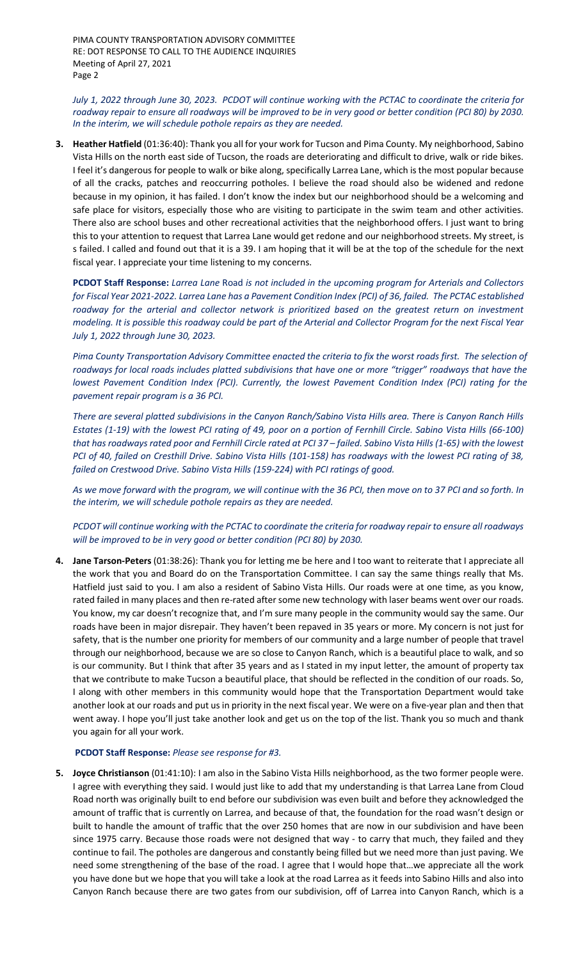PIMA COUNTY TRANSPORTATION ADVISORY COMMITTEE RE: DOT RESPONSE TO CALL TO THE AUDIENCE INQUIRIES Meeting of April 27, 2021 Page 2

*July 1, 2022 through June 30, 2023. PCDOT will continue working with the PCTAC to coordinate the criteria for roadway repair to ensure all roadways will be improved to be in very good or better condition (PCI 80) by 2030. In the interim, we will schedule pothole repairs as they are needed.*

**3. Heather Hatfield** (01:36:40): Thank you all for your work for Tucson and Pima County. My neighborhood, Sabino Vista Hills on the north east side of Tucson, the roads are deteriorating and difficult to drive, walk or ride bikes. I feel it's dangerous for people to walk or bike along, specifically Larrea Lane, which is the most popular because of all the cracks, patches and reoccurring potholes. I believe the road should also be widened and redone because in my opinion, it has failed. I don't know the index but our neighborhood should be a welcoming and safe place for visitors, especially those who are visiting to participate in the swim team and other activities. There also are school buses and other recreational activities that the neighborhood offers. I just want to bring this to your attention to request that Larrea Lane would get redone and our neighborhood streets. My street, is s failed. I called and found out that it is a 39. I am hoping that it will be at the top of the schedule for the next fiscal year. I appreciate your time listening to my concerns.

**PCDOT Staff Response:** *Larrea Lane* Road *is not included in the upcoming program for Arterials and Collectors for Fiscal Year 2021-2022. Larrea Lane has a Pavement Condition Index (PCI) of 36, failed. The PCTAC established roadway for the arterial and collector network is prioritized based on the greatest return on investment modeling. It is possible this roadway could be part of the Arterial and Collector Program for the next Fiscal Year July 1, 2022 through June 30, 2023.*

*Pima County Transportation Advisory Committee enacted the criteria to fix the worst roads first. The selection of roadways for local roads includes platted subdivisions that have one or more "trigger" roadways that have the lowest Pavement Condition Index (PCI). Currently, the lowest Pavement Condition Index (PCI) rating for the pavement repair program is a 36 PCI.*

*There are several platted subdivisions in the Canyon Ranch/Sabino Vista Hills area. There is Canyon Ranch Hills Estates (1-19) with the lowest PCI rating of 49, poor on a portion of Fernhill Circle. Sabino Vista Hills (66-100) that has roadways rated poor and Fernhill Circle rated at PCI 37 – failed. Sabino Vista Hills (1-65) with the lowest PCI of 40, failed on Cresthill Drive. Sabino Vista Hills (101-158) has roadways with the lowest PCI rating of 38, failed on Crestwood Drive. Sabino Vista Hills (159-224) with PCI ratings of good.*

*As we move forward with the program, we will continue with the 36 PCI, then move on to 37 PCI and so forth. In the interim, we will schedule pothole repairs as they are needed.*

*PCDOT will continue working with the PCTAC to coordinate the criteria for roadway repair to ensure all roadways will be improved to be in very good or better condition (PCI 80) by 2030.*

**4. Jane Tarson-Peters** (01:38:26): Thank you for letting me be here and I too want to reiterate that I appreciate all the work that you and Board do on the Transportation Committee. I can say the same things really that Ms. Hatfield just said to you. I am also a resident of Sabino Vista Hills. Our roads were at one time, as you know, rated failed in many places and then re-rated after some new technology with laser beams went over our roads. You know, my car doesn't recognize that, and I'm sure many people in the community would say the same. Our roads have been in major disrepair. They haven't been repaved in 35 years or more. My concern is not just for safety, that is the number one priority for members of our community and a large number of people that travel through our neighborhood, because we are so close to Canyon Ranch, which is a beautiful place to walk, and so is our community. But I think that after 35 years and as I stated in my input letter, the amount of property tax that we contribute to make Tucson a beautiful place, that should be reflected in the condition of our roads. So, I along with other members in this community would hope that the Transportation Department would take another look at our roads and put us in priority in the next fiscal year. We were on a five-year plan and then that went away. I hope you'll just take another look and get us on the top of the list. Thank you so much and thank you again for all your work.

# **PCDOT Staff Response:** *Please see response for #3.*

**5. Joyce Christianson** (01:41:10): I am also in the Sabino Vista Hills neighborhood, as the two former people were. I agree with everything they said. I would just like to add that my understanding is that Larrea Lane from Cloud Road north was originally built to end before our subdivision was even built and before they acknowledged the amount of traffic that is currently on Larrea, and because of that, the foundation for the road wasn't design or built to handle the amount of traffic that the over 250 homes that are now in our subdivision and have been since 1975 carry. Because those roads were not designed that way - to carry that much, they failed and they continue to fail. The potholes are dangerous and constantly being filled but we need more than just paving. We need some strengthening of the base of the road. I agree that I would hope that…we appreciate all the work you have done but we hope that you will take a look at the road Larrea as it feeds into Sabino Hills and also into Canyon Ranch because there are two gates from our subdivision, off of Larrea into Canyon Ranch, which is a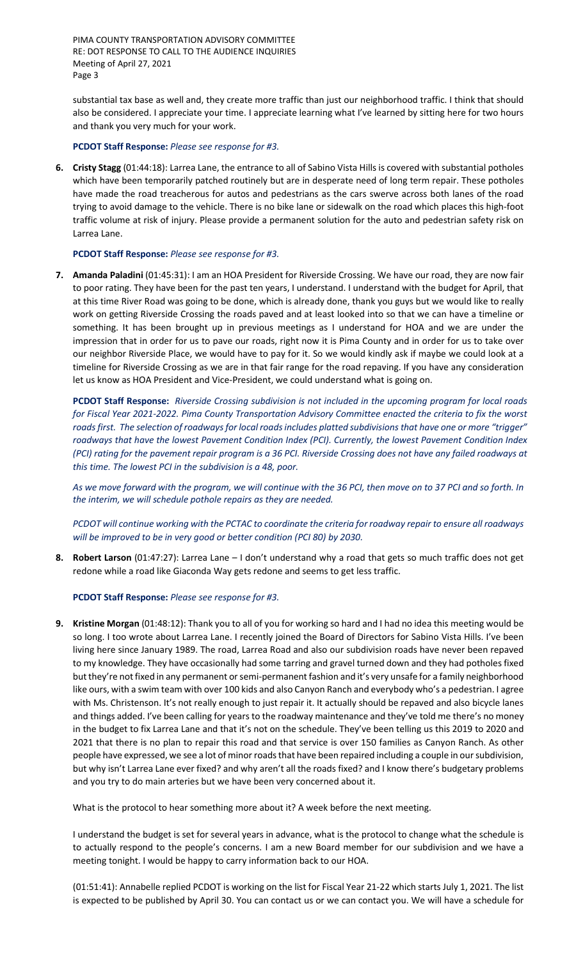PIMA COUNTY TRANSPORTATION ADVISORY COMMITTEE RE: DOT RESPONSE TO CALL TO THE AUDIENCE INQUIRIES Meeting of April 27, 2021 Page 3

substantial tax base as well and, they create more traffic than just our neighborhood traffic. I think that should also be considered. I appreciate your time. I appreciate learning what I've learned by sitting here for two hours and thank you very much for your work.

**PCDOT Staff Response:** *Please see response for #3.*

**6. Cristy Stagg** (01:44:18): Larrea Lane, the entrance to all of Sabino Vista Hills is covered with substantial potholes which have been temporarily patched routinely but are in desperate need of long term repair. These potholes have made the road treacherous for autos and pedestrians as the cars swerve across both lanes of the road trying to avoid damage to the vehicle. There is no bike lane or sidewalk on the road which places this high-foot traffic volume at risk of injury. Please provide a permanent solution for the auto and pedestrian safety risk on Larrea Lane.

### **PCDOT Staff Response:** *Please see response for #3.*

**7. Amanda Paladini** (01:45:31): I am an HOA President for Riverside Crossing. We have our road, they are now fair to poor rating. They have been for the past ten years, I understand. I understand with the budget for April, that at this time River Road was going to be done, which is already done, thank you guys but we would like to really work on getting Riverside Crossing the roads paved and at least looked into so that we can have a timeline or something. It has been brought up in previous meetings as I understand for HOA and we are under the impression that in order for us to pave our roads, right now it is Pima County and in order for us to take over our neighbor Riverside Place, we would have to pay for it. So we would kindly ask if maybe we could look at a timeline for Riverside Crossing as we are in that fair range for the road repaving. If you have any consideration let us know as HOA President and Vice-President, we could understand what is going on.

**PCDOT Staff Response:** *Riverside Crossing subdivision is not included in the upcoming program for local roads for Fiscal Year 2021-2022. Pima County Transportation Advisory Committee enacted the criteria to fix the worst roads first. The selection of roadways for local roads includes platted subdivisions that have one or more "trigger" roadways that have the lowest Pavement Condition Index (PCI). Currently, the lowest Pavement Condition Index (PCI) rating for the pavement repair program is a 36 PCI. Riverside Crossing does not have any failed roadways at this time. The lowest PCI in the subdivision is a 48, poor.*

*As we move forward with the program, we will continue with the 36 PCI, then move on to 37 PCI and so forth. In the interim, we will schedule pothole repairs as they are needed.*

*PCDOT will continue working with the PCTAC to coordinate the criteria for roadway repair to ensure all roadways will be improved to be in very good or better condition (PCI 80) by 2030.*

**8. Robert Larson** (01:47:27): Larrea Lane – I don't understand why a road that gets so much traffic does not get redone while a road like Giaconda Way gets redone and seems to get less traffic.

#### **PCDOT Staff Response:** *Please see response for #3.*

**9. Kristine Morgan** (01:48:12): Thank you to all of you for working so hard and I had no idea this meeting would be so long. I too wrote about Larrea Lane. I recently joined the Board of Directors for Sabino Vista Hills. I've been living here since January 1989. The road, Larrea Road and also our subdivision roads have never been repaved to my knowledge. They have occasionally had some tarring and gravel turned down and they had potholes fixed but they're not fixed in any permanent or semi-permanent fashion and it's very unsafe for a family neighborhood like ours, with a swim team with over 100 kids and also Canyon Ranch and everybody who's a pedestrian. I agree with Ms. Christenson. It's not really enough to just repair it. It actually should be repaved and also bicycle lanes and things added. I've been calling for years to the roadway maintenance and they've told me there's no money in the budget to fix Larrea Lane and that it's not on the schedule. They've been telling us this 2019 to 2020 and 2021 that there is no plan to repair this road and that service is over 150 families as Canyon Ranch. As other people have expressed, we see a lot of minor roads that have been repaired including a couple in our subdivision, but why isn't Larrea Lane ever fixed? and why aren't all the roads fixed? and I know there's budgetary problems and you try to do main arteries but we have been very concerned about it.

What is the protocol to hear something more about it? A week before the next meeting.

I understand the budget is set for several years in advance, what is the protocol to change what the schedule is to actually respond to the people's concerns. I am a new Board member for our subdivision and we have a meeting tonight. I would be happy to carry information back to our HOA.

(01:51:41): Annabelle replied PCDOT is working on the list for Fiscal Year 21-22 which starts July 1, 2021. The list is expected to be published by April 30. You can contact us or we can contact you. We will have a schedule for